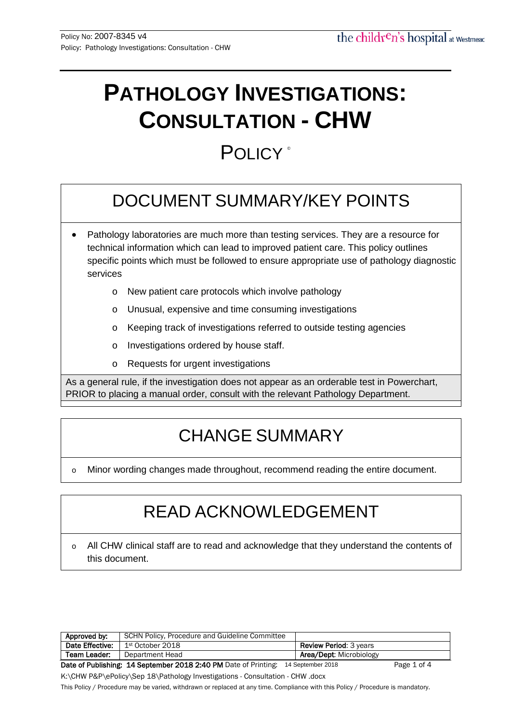# **PATHOLOGY INVESTIGATIONS: CONSULTATION - CHW**

## POLICY<sup>®</sup>

## DOCUMENT SUMMARY/KEY POINTS

- Pathology laboratories are much more than testing services. They are a resource for technical information which can lead to improved patient care. This policy outlines specific points which must be followed to ensure appropriate use of pathology diagnostic services
	- o New patient care protocols which involve pathology
	- o Unusual, expensive and time consuming investigations
	- o Keeping track of investigations referred to outside testing agencies
	- o Investigations ordered by house staff.
	- o Requests for urgent investigations

As a general rule, if the investigation does not appear as an orderable test in Powerchart, PRIOR to placing a manual order, consult with the relevant Pathology Department.

## CHANGE SUMMARY

o Minor wording changes made throughout, recommend reading the entire document.

## READ ACKNOWLEDGEMENT

o All CHW clinical staff are to read and acknowledge that they understand the contents of this document.

| Approved by:                                                    | SCHN Policy, Procedure and Guideline Committee |                                |             |
|-----------------------------------------------------------------|------------------------------------------------|--------------------------------|-------------|
| Date Effective:                                                 | 1st October 2018                               | <b>Review Period: 3 years</b>  |             |
| Team Leader:                                                    | Department Head                                | <b>Area/Dept: Microbiology</b> |             |
| Date of Publishing: 14 September 2018 2:40 PM Date of Printing: |                                                | 14 September 2018              | Page 1 of 4 |

K:\CHW P&P\ePolicy\Sep 18\Pathology Investigations - Consultation - CHW .docx

This Policy / Procedure may be varied, withdrawn or replaced at any time. Compliance with this Policy / Procedure is mandatory.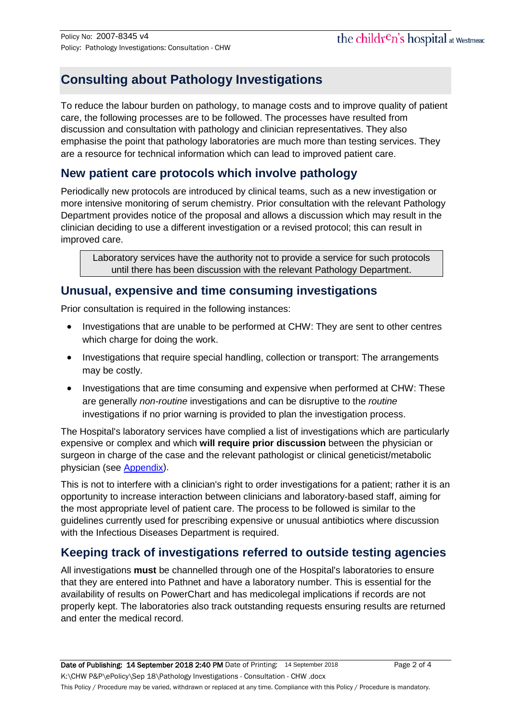## **Consulting about Pathology Investigations**

To reduce the labour burden on pathology, to manage costs and to improve quality of patient care, the following processes are to be followed. The processes have resulted from discussion and consultation with pathology and clinician representatives. They also emphasise the point that pathology laboratories are much more than testing services. They are a resource for technical information which can lead to improved patient care.

### **New patient care protocols which involve pathology**

Periodically new protocols are introduced by clinical teams, such as a new investigation or more intensive monitoring of serum chemistry. Prior consultation with the relevant Pathology Department provides notice of the proposal and allows a discussion which may result in the clinician deciding to use a different investigation or a revised protocol; this can result in improved care.

Laboratory services have the authority not to provide a service for such protocols until there has been discussion with the relevant Pathology Department.

### **Unusual, expensive and time consuming investigations**

Prior consultation is required in the following instances:

- Investigations that are unable to be performed at CHW: They are sent to other centres which charge for doing the work.
- Investigations that require special handling, collection or transport: The arrangements may be costly.
- Investigations that are time consuming and expensive when performed at CHW: These are generally *non-routine* investigations and can be disruptive to the *routine* investigations if no prior warning is provided to plan the investigation process.

The Hospital's laboratory services have complied a list of investigations which are particularly expensive or complex and which **will require prior discussion** between the physician or surgeon in charge of the case and the relevant pathologist or clinical geneticist/metabolic physician (see [Appendix\)](#page-2-0).

This is not to interfere with a clinician's right to order investigations for a patient; rather it is an opportunity to increase interaction between clinicians and laboratory-based staff, aiming for the most appropriate level of patient care. The process to be followed is similar to the guidelines currently used for prescribing expensive or unusual antibiotics where discussion with the Infectious Diseases Department is required.

## **Keeping track of investigations referred to outside testing agencies**

All investigations **must** be channelled through one of the Hospital's laboratories to ensure that they are entered into Pathnet and have a laboratory number. This is essential for the availability of results on PowerChart and has medicolegal implications if records are not properly kept. The laboratories also track outstanding requests ensuring results are returned and enter the medical record.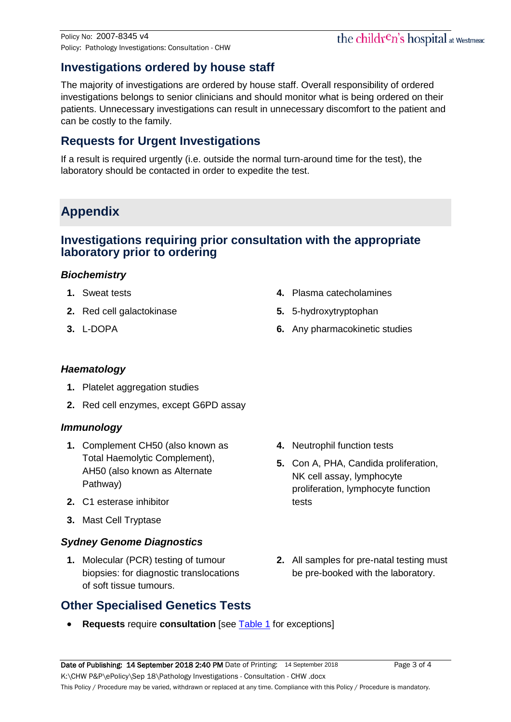## the children's hospital at Westmead

## **Investigations ordered by house staff**

The majority of investigations are ordered by house staff. Overall responsibility of ordered investigations belongs to senior clinicians and should monitor what is being ordered on their patients. Unnecessary investigations can result in unnecessary discomfort to the patient and can be costly to the family.

### **Requests for Urgent Investigations**

If a result is required urgently (i.e. outside the normal turn-around time for the test), the laboratory should be contacted in order to expedite the test.

## <span id="page-2-0"></span>**Appendix**

#### **Investigations requiring prior consultation with the appropriate laboratory prior to ordering**

#### *Biochemistry*

- **1.** Sweat tests
- **2.** Red cell galactokinase
- **3.** L-DOPA
- **4.** Plasma catecholamines
- **5.** 5-hydroxytryptophan
- **6.** Any pharmacokinetic studies

#### *Haematology*

- **1.** Platelet aggregation studies
- **2.** Red cell enzymes, except G6PD assay

#### *Immunology*

- **1.** Complement CH50 (also known as Total Haemolytic Complement), AH50 (also known as Alternate Pathway)
- **2.** C1 esterase inhibitor
- **3.** Mast Cell Tryptase

#### *Sydney Genome Diagnostics*

**1.** Molecular (PCR) testing of tumour biopsies: for diagnostic translocations of soft tissue tumours.

## **Other Specialised Genetics Tests**

- **4.** Neutrophil function tests
- **5.** Con A, PHA, Candida proliferation, NK cell assay, lymphocyte proliferation, lymphocyte function tests
- **2.** All samples for pre-natal testing must be pre-booked with the laboratory.
- **Requests** require **consultation** [see [Table 1](#page-3-0) for exceptions]